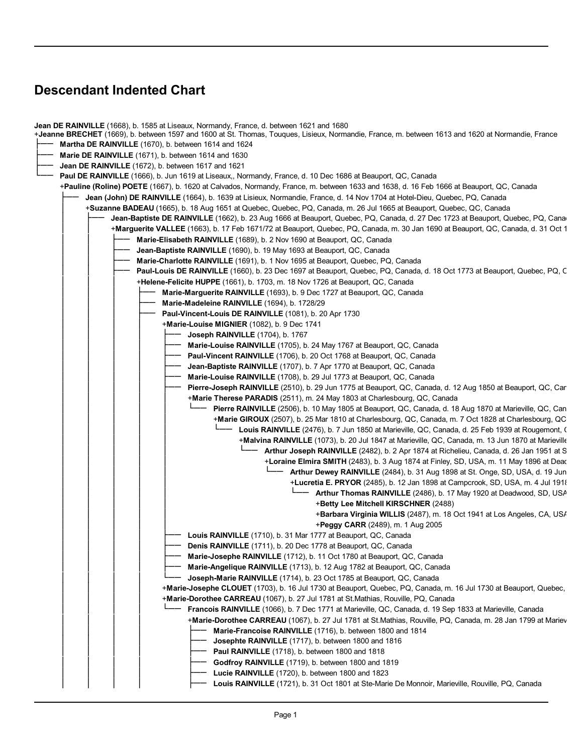## **Descendant Indented Chart**

|  | Jean DE RAINVILLE (1668), b. 1585 at Liseaux, Normandy, France, d. between 1621 and 1680                                                                                                                      |
|--|---------------------------------------------------------------------------------------------------------------------------------------------------------------------------------------------------------------|
|  | +Jeanne BRECHET (1669), b. between 1597 and 1600 at St. Thomas, Touques, Lisieux, Normandie, France, m. between 1613 and 1620 at Normandie, France                                                            |
|  | Martha DE RAINVILLE (1670), b. between 1614 and 1624                                                                                                                                                          |
|  | Marie DE RAINVILLE (1671), b. between 1614 and 1630                                                                                                                                                           |
|  | Jean DE RAINVILLE (1672), b. between 1617 and 1621                                                                                                                                                            |
|  | Paul DE RAINVILLE (1666), b. Jun 1619 at Liseaux,, Normandy, France, d. 10 Dec 1686 at Beauport, QC, Canada                                                                                                   |
|  | +Pauline (Roline) POETE (1667), b. 1620 at Calvados, Normandy, France, m. between 1633 and 1638, d. 16 Feb 1666 at Beauport, QC, Canada                                                                       |
|  | Jean (John) DE RAINVILLE (1664), b. 1639 at Lisieux, Normandie, France, d. 14 Nov 1704 at Hotel-Dieu, Quebec, PQ, Canada                                                                                      |
|  | +Suzanne BADEAU (1665), b. 18 Aug 1651 at Quebec, Quebec, PQ, Canada, m. 26 Jul 1665 at Beauport, Quebec, QC, Canada                                                                                          |
|  | Jean-Baptiste DE RAINVILLE (1662), b. 23 Aug 1666 at Beauport, Quebec, PQ, Canada, d. 27 Dec 1723 at Beauport, Quebec, PQ, Canar                                                                              |
|  | +Marguerite VALLEE (1663), b. 17 Feb 1671/72 at Beauport, Quebec, PQ, Canada, m. 30 Jan 1690 at Beauport, QC, Canada, d. 31 Oct 1                                                                             |
|  | Marie-Elisabeth RAINVILLE (1689), b. 2 Nov 1690 at Beauport, QC, Canada                                                                                                                                       |
|  | Jean-Baptiste RAINVILLE (1690), b. 19 May 1693 at Beauport, QC, Canada                                                                                                                                        |
|  | Marie-Charlotte RAINVILLE (1691), b. 1 Nov 1695 at Beauport, Quebec, PQ, Canada                                                                                                                               |
|  | Paul-Louis DE RAINVILLE (1660), b. 23 Dec 1697 at Beauport, Quebec, PQ, Canada, d. 18 Oct 1773 at Beauport, Quebec, PQ, C                                                                                     |
|  | +Helene-Felicite HUPPE (1661), b. 1703, m. 18 Nov 1726 at Beauport, QC, Canada                                                                                                                                |
|  | Marie-Marguerite RAINVILLE (1693), b. 9 Dec 1727 at Beauport, QC, Canada                                                                                                                                      |
|  | Marie-Madeleine RAINVILLE (1694), b. 1728/29                                                                                                                                                                  |
|  | Paul-Vincent-Louis DE RAINVILLE (1081), b. 20 Apr 1730                                                                                                                                                        |
|  | +Marie-Louise MIGNIER (1082), b. 9 Dec 1741                                                                                                                                                                   |
|  | Joseph RAINVILLE (1704), b. 1767                                                                                                                                                                              |
|  | Marie-Louise RAINVILLE (1705), b. 24 May 1767 at Beauport, QC, Canada                                                                                                                                         |
|  | <b>Paul-Vincent RAINVILLE</b> (1706), b. 20 Oct 1768 at Beauport, QC, Canada                                                                                                                                  |
|  | Jean-Baptiste RAINVILLE (1707), b. 7 Apr 1770 at Beauport, QC, Canada                                                                                                                                         |
|  | Marie-Louise RAINVILLE (1708), b. 29 Jul 1773 at Beauport, QC, Canada                                                                                                                                         |
|  | Pierre-Joseph RAINVILLE (2510), b. 29 Jun 1775 at Beauport, QC, Canada, d. 12 Aug 1850 at Beauport, QC, Car                                                                                                   |
|  | +Marie Therese PARADIS (2511), m. 24 May 1803 at Charlesbourg, QC, Canada                                                                                                                                     |
|  | Pierre RAINVILLE (2506), b. 10 May 1805 at Beauport, QC, Canada, d. 18 Aug 1870 at Marieville, QC, Can<br>+Marie GIROUX (2507), b. 25 Mar 1810 at Charlesbourg, QC, Canada, m. 7 Oct 1828 at Charlesbourg, QC |
|  | L— Louis RAINVILLE (2476), b. 7 Jun 1850 at Marieville, QC, Canada, d. 25 Feb 1939 at Rougemont, (                                                                                                            |
|  | +Malvina RAINVILLE (1073), b. 20 Jul 1847 at Marieville, QC, Canada, m. 13 Jun 1870 at Marieville                                                                                                             |
|  | Arthur Joseph RAINVILLE (2482), b. 2 Apr 1874 at Richelieu, Canada, d. 26 Jan 1951 at S                                                                                                                       |
|  | +Loraine Elmira SMITH (2483), b. 3 Aug 1874 at Finley, SD, USA, m. 11 May 1896 at Deac                                                                                                                        |
|  | Arthur Dewey RAINVILLE (2484), b. 31 Aug 1898 at St. Onge, SD, USA, d. 19 Jun                                                                                                                                 |
|  | +Lucretia E. PRYOR (2485), b. 12 Jan 1898 at Campcrook, SD, USA, m. 4 Jul 1918                                                                                                                                |
|  | Arthur Thomas RAINVILLE (2486), b. 17 May 1920 at Deadwood, SD, USA                                                                                                                                           |
|  | +Betty Lee Mitchell KIRSCHNER (2488)                                                                                                                                                                          |
|  | +Barbara Virginia WILLIS (2487), m. 18 Oct 1941 at Los Angeles, CA, USA                                                                                                                                       |
|  | +Peggy CARR (2489), m. 1 Aug 2005                                                                                                                                                                             |
|  | Louis RAINVILLE (1710), b. 31 Mar 1777 at Beauport, QC, Canada                                                                                                                                                |
|  | Denis RAINVILLE (1711), b. 20 Dec 1778 at Beauport, QC, Canada                                                                                                                                                |
|  | Marie-Josephe RAINVILLE (1712), b. 11 Oct 1780 at Beauport, QC, Canada                                                                                                                                        |
|  | Marie-Angelique RAINVILLE (1713), b. 12 Aug 1782 at Beauport, QC, Canada                                                                                                                                      |
|  | Joseph-Marie RAINVILLE (1714), b. 23 Oct 1785 at Beauport, QC, Canada                                                                                                                                         |
|  | +Marie-Josephe CLOUET (1703), b. 16 Jul 1730 at Beauport, Quebec, PQ, Canada, m. 16 Jul 1730 at Beauport, Quebec,                                                                                             |
|  | +Marie-Dorothee CARREAU (1067), b. 27 Jul 1781 at St.Mathias, Rouville, PQ, Canada                                                                                                                            |
|  | Francois RAINVILLE (1066), b. 7 Dec 1771 at Marieville, QC, Canada, d. 19 Sep 1833 at Marieville, Canada                                                                                                      |
|  | +Marie-Dorothee CARREAU (1067), b. 27 Jul 1781 at St.Mathias, Rouville, PQ, Canada, m. 28 Jan 1799 at Mariev                                                                                                  |
|  | Marie-Francoise RAINVILLE (1716), b. between 1800 and 1814                                                                                                                                                    |
|  | Josephte RAINVILLE (1717), b. between 1800 and 1816                                                                                                                                                           |
|  | Paul RAINVILLE (1718), b. between 1800 and 1818                                                                                                                                                               |
|  | Godfroy RAINVILLE (1719), b. between 1800 and 1819                                                                                                                                                            |
|  | Lucie RAINVILLE (1720), b. between 1800 and 1823                                                                                                                                                              |
|  | Louis RAINVILLE (1721), b. 31 Oct 1801 at Ste-Marie De Monnoir, Marieville, Rouville, PQ, Canada                                                                                                              |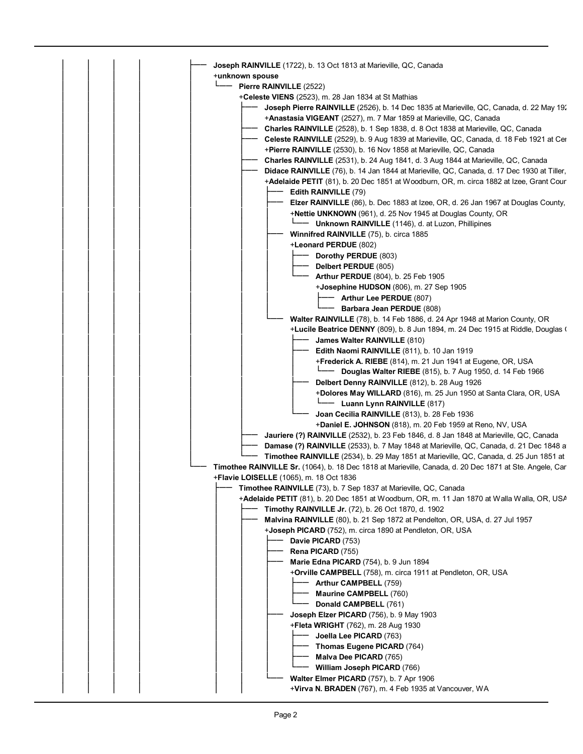| Joseph RAINVILLE (1722), b. 13 Oct 1813 at Marieville, QC, Canada                                       |
|---------------------------------------------------------------------------------------------------------|
| +unknown spouse                                                                                         |
| Pierre RAINVILLE (2522)                                                                                 |
| +Celeste VIENS (2523), m. 28 Jan 1834 at St Mathias                                                     |
| Joseph Pierre RAINVILLE (2526), b. 14 Dec 1835 at Marieville, QC, Canada, d. 22 May 19.                 |
| +Anastasia VIGEANT (2527), m. 7 Mar 1859 at Marieville, QC, Canada                                      |
| Charles RAINVILLE (2528), b. 1 Sep 1838, d. 8 Oct 1838 at Marieville, QC, Canada                        |
| Celeste RAINVILLE (2529), b. 9 Aug 1839 at Marieville, QC, Canada, d. 18 Feb 1921 at Cer                |
| +Pierre RAINVILLE (2530), b. 16 Nov 1858 at Marieville, QC, Canada                                      |
| Charles RAINVILLE (2531), b. 24 Aug 1841, d. 3 Aug 1844 at Marieville, QC, Canada                       |
| Didace RAINVILLE (76), b. 14 Jan 1844 at Marieville, QC, Canada, d. 17 Dec 1930 at Tiller,              |
| +Adelaide PETIT (81), b. 20 Dec 1851 at Woodburn, OR, m. circa 1882 at Izee, Grant Cour                 |
| <b>Edith RAINVILLE (79)</b>                                                                             |
| Elzer RAINVILLE (86), b. Dec 1883 at Izee, OR, d. 26 Jan 1967 at Douglas County,                        |
| +Nettie UNKNOWN (961), d. 25 Nov 1945 at Douglas County, OR                                             |
| <b>Unknown RAINVILLE</b> (1146), d. at Luzon, Phillipines                                               |
| Winnifred RAINVILLE (75), b. circa 1885                                                                 |
| +Leonard PERDUE (802)                                                                                   |
| Dorothy PERDUE (803)                                                                                    |
| Delbert PERDUE (805)                                                                                    |
| <b>Arthur PERDUE</b> (804), b. 25 Feb 1905                                                              |
| +Josephine HUDSON (806), m. 27 Sep 1905                                                                 |
| Arthur Lee PERDUE (807)                                                                                 |
| Barbara Jean PERDUE (808)                                                                               |
| Walter RAINVILLE (78), b. 14 Feb 1886, d. 24 Apr 1948 at Marion County, OR                              |
| +Lucile Beatrice DENNY (809), b. 8 Jun 1894, m. 24 Dec 1915 at Riddle, Douglas (                        |
| James Walter RAINVILLE (810)                                                                            |
| Edith Naomi RAINVILLE (811), b. 10 Jan 1919                                                             |
| +Frederick A. RIEBE (814), m. 21 Jun 1941 at Eugene, OR, USA                                            |
| Douglas Walter RIEBE (815), b. 7 Aug 1950, d. 14 Feb 1966                                               |
| Delbert Denny RAINVILLE (812), b. 28 Aug 1926                                                           |
| +Dolores May WILLARD (816), m. 25 Jun 1950 at Santa Clara, OR, USA                                      |
| Luann Lynn RAINVILLE (817)                                                                              |
| Joan Cecilia RAINVILLE (813), b. 28 Feb 1936                                                            |
| +Daniel E. JOHNSON (818), m. 20 Feb 1959 at Reno, NV, USA                                               |
| Jauriere (?) RAINVILLE (2532), b. 23 Feb 1846, d. 8 Jan 1848 at Marieville, QC, Canada                  |
| Damase (?) RAINVILLE (2533), b. 7 May 1848 at Marieville, QC, Canada, d. 21 Dec 1848 a                  |
| Timothee RAINVILLE (2534), b. 29 May 1851 at Marieville, QC, Canada, d. 25 Jun 1851 at                  |
| Timothee RAINVILLE Sr. (1064), b. 18 Dec 1818 at Marieville, Canada, d. 20 Dec 1871 at Ste. Angele, Car |
| +Flavie LOISELLE (1065), m. 18 Oct 1836                                                                 |
| <b>Timothee RAINVILLE</b> (73), b. 7 Sep 1837 at Marieville, QC, Canada                                 |
| +Adelaide PETIT (81), b. 20 Dec 1851 at Woodburn, OR, m. 11 Jan 1870 at Walla Walla, OR, USA            |
| <b>Timothy RAINVILLE Jr.</b> (72), b. 26 Oct 1870, d. 1902                                              |
| Malvina RAINVILLE (80), b. 21 Sep 1872 at Pendelton, OR, USA, d. 27 Jul 1957                            |
| +Joseph PICARD (752), m. circa 1890 at Pendleton, OR, USA                                               |
| Davie PICARD (753)                                                                                      |
| Rena PICARD (755)                                                                                       |
| <b>Marie Edna PICARD</b> (754), b. 9 Jun 1894                                                           |
| +Orville CAMPBELL (758), m. circa 1911 at Pendleton, OR, USA                                            |
| <b>Arthur CAMPBELL (759)</b>                                                                            |
| <b>Maurine CAMPBELL (760)</b>                                                                           |
| Donald CAMPBELL (761)                                                                                   |
| Joseph Elzer PICARD (756), b. 9 May 1903                                                                |
| +Fleta WRIGHT (762), m. 28 Aug 1930                                                                     |
| Joella Lee PICARD (763)                                                                                 |
| Thomas Eugene PICARD (764)                                                                              |
| Malva Dee PICARD (765)                                                                                  |
| William Joseph PICARD (766)                                                                             |
| Walter Elmer PICARD (757), b. 7 Apr 1906                                                                |
| +Virva N. BRADEN (767), m. 4 Feb 1935 at Vancouver, WA                                                  |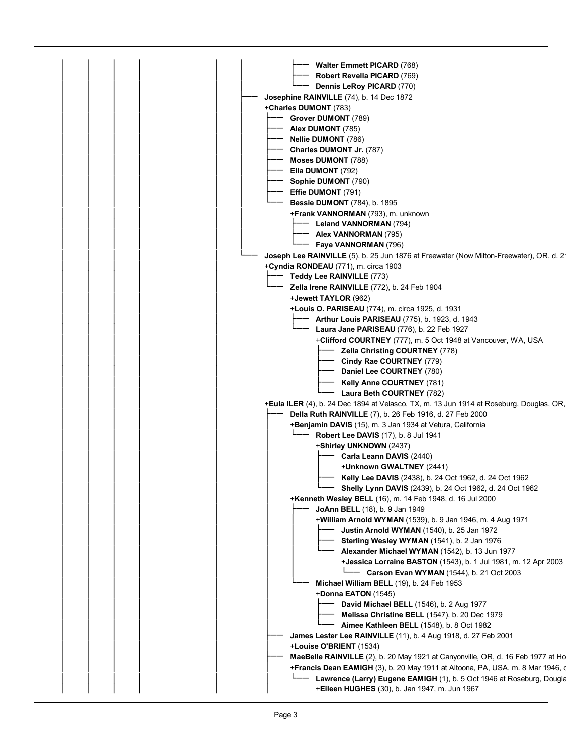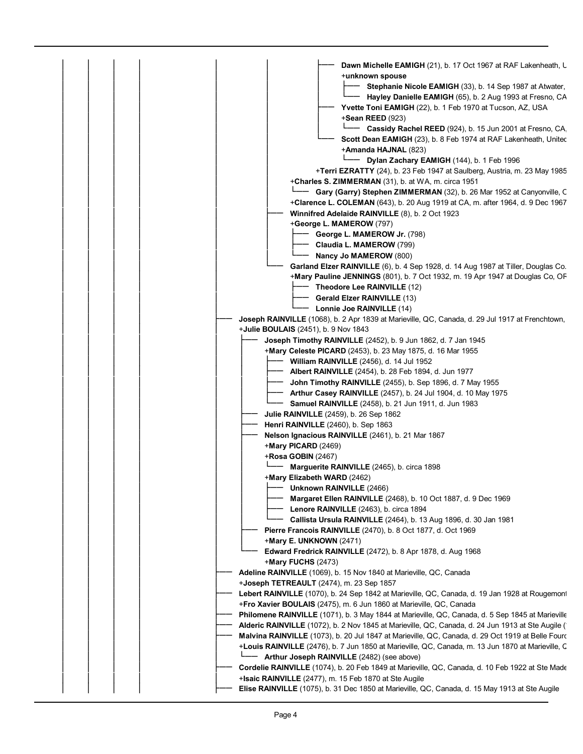| Dawn Michelle EAMIGH (21), b. 17 Oct 1967 at RAF Lakenheath, U                                          |
|---------------------------------------------------------------------------------------------------------|
| +unknown spouse                                                                                         |
| Stephanie Nicole EAMIGH (33), b. 14 Sep 1987 at Atwater,                                                |
| Hayley Danielle EAMIGH (65), b. 2 Aug 1993 at Fresno, CA                                                |
| Yvette Toni EAMIGH (22), b. 1 Feb 1970 at Tucson, AZ, USA                                               |
| $+$ Sean REED (923)                                                                                     |
| Cassidy Rachel REED (924), b. 15 Jun 2001 at Fresno, CA,                                                |
| Scott Dean EAMIGH (23), b. 8 Feb 1974 at RAF Lakenheath, United                                         |
| +Amanda HAJNAL (823)                                                                                    |
| Dylan Zachary EAMIGH (144), b. 1 Feb 1996                                                               |
| +Terri EZRATTY (24), b. 23 Feb 1947 at Saulberg, Austria, m. 23 May 1985                                |
| +Charles S. ZIMMERMAN (31), b. at WA, m. circa 1951                                                     |
| <b>Gary (Garry) Stephen ZIMMERMAN</b> (32), b. 26 Mar 1952 at Canyonville, C                            |
| +Clarence L. COLEMAN (643), b. 20 Aug 1919 at CA, m. after 1964, d. 9 Dec 1967                          |
| Winnifred Adelaide RAINVILLE (8), b. 2 Oct 1923                                                         |
| +George L. MAMEROW (797)                                                                                |
| George L. MAMEROW Jr. (798)                                                                             |
| Claudia L. MAMEROW (799)                                                                                |
| Nancy Jo MAMEROW (800)                                                                                  |
| Garland Elzer RAINVILLE (6), b. 4 Sep 1928, d. 14 Aug 1987 at Tiller, Douglas Co.                       |
| +Mary Pauline JENNINGS (801), b. 7 Oct 1932, m. 19 Apr 1947 at Douglas Co, OF                           |
| - Theodore Lee RAINVILLE (12)                                                                           |
| <b>Gerald Elzer RAINVILLE (13)</b>                                                                      |
| Lonnie Joe RAINVILLE (14)                                                                               |
| Joseph RAINVILLE (1068), b. 2 Apr 1839 at Marieville, QC, Canada, d. 29 Jul 1917 at Frenchtown,         |
| +Julie BOULAIS (2451), b. 9 Nov 1843                                                                    |
| Joseph Timothy RAINVILLE (2452), b. 9 Jun 1862, d. 7 Jan 1945                                           |
| +Mary Celeste PICARD (2453), b. 23 May 1875, d. 16 Mar 1955                                             |
| <b>William RAINVILLE</b> (2456), d. 14 Jul 1952                                                         |
| Albert RAINVILLE (2454), b. 28 Feb 1894, d. Jun 1977                                                    |
| <b>John Timothy RAINVILLE</b> (2455), b. Sep 1896, d. 7 May 1955                                        |
| <b>- Arthur Casey RAINVILLE</b> (2457), b. 24 Jul 1904, d. 10 May 1975                                  |
| Samuel RAINVILLE (2458), b. 21 Jun 1911, d. Jun 1983                                                    |
| Julie RAINVILLE (2459), b. 26 Sep 1862                                                                  |
| Henri RAINVILLE (2460), b. Sep 1863                                                                     |
| Nelson Ignacious RAINVILLE (2461), b. 21 Mar 1867                                                       |
| +Mary PICARD (2469)                                                                                     |
| <b>+Rosa GOBIN (2467)</b>                                                                               |
| <b>- Marguerite RAINVILLE</b> (2465), b. circa 1898                                                     |
| +Mary Elizabeth WARD (2462)                                                                             |
| Unknown RAINVILLE (2466)                                                                                |
| Margaret Ellen RAINVILLE (2468), b. 10 Oct 1887, d. 9 Dec 1969                                          |
| Lenore RAINVILLE (2463), b. circa 1894                                                                  |
| Callista Ursula RAINVILLE (2464), b. 13 Aug 1896, d. 30 Jan 1981                                        |
| Pierre Francois RAINVILLE (2470), b. 8 Oct 1877, d. Oct 1969                                            |
| +Mary E. UNKNOWN (2471)                                                                                 |
| Edward Fredrick RAINVILLE (2472), b. 8 Apr 1878, d. Aug 1968                                            |
| <b>+Mary FUCHS (2473)</b>                                                                               |
| Adeline RAINVILLE (1069), b. 15 Nov 1840 at Marieville, QC, Canada                                      |
| +Joseph TETREAULT (2474), m. 23 Sep 1857                                                                |
| Lebert RAINVILLE (1070), b. 24 Sep 1842 at Marieville, QC, Canada, d. 19 Jan 1928 at Rougemont          |
| +Fro Xavier BOULAIS (2475), m. 6 Jun 1860 at Marieville, QC, Canada                                     |
| <b>Philomene RAINVILLE</b> (1071), b. 3 May 1844 at Marieville, QC, Canada, d. 5 Sep 1845 at Marieville |
| Alderic RAINVILLE (1072), b. 2 Nov 1845 at Marieville, QC, Canada, d. 24 Jun 1913 at Ste Augile (       |
| Malvina RAINVILLE (1073), b. 20 Jul 1847 at Marieville, QC, Canada, d. 29 Oct 1919 at Belle Fourc       |
| +Louis RAINVILLE (2476), b. 7 Jun 1850 at Marieville, QC, Canada, m. 13 Jun 1870 at Marieville, C       |
| Arthur Joseph RAINVILLE (2482) (see above)                                                              |
| Cordelie RAINVILLE (1074), b. 20 Feb 1849 at Marieville, QC, Canada, d. 10 Feb 1922 at Ste Made         |
| +Isaic RAINVILLE (2477), m. 15 Feb 1870 at Ste Augile                                                   |
| Elise RAINVILLE (1075), b. 31 Dec 1850 at Marieville, QC, Canada, d. 15 May 1913 at Ste Augile          |